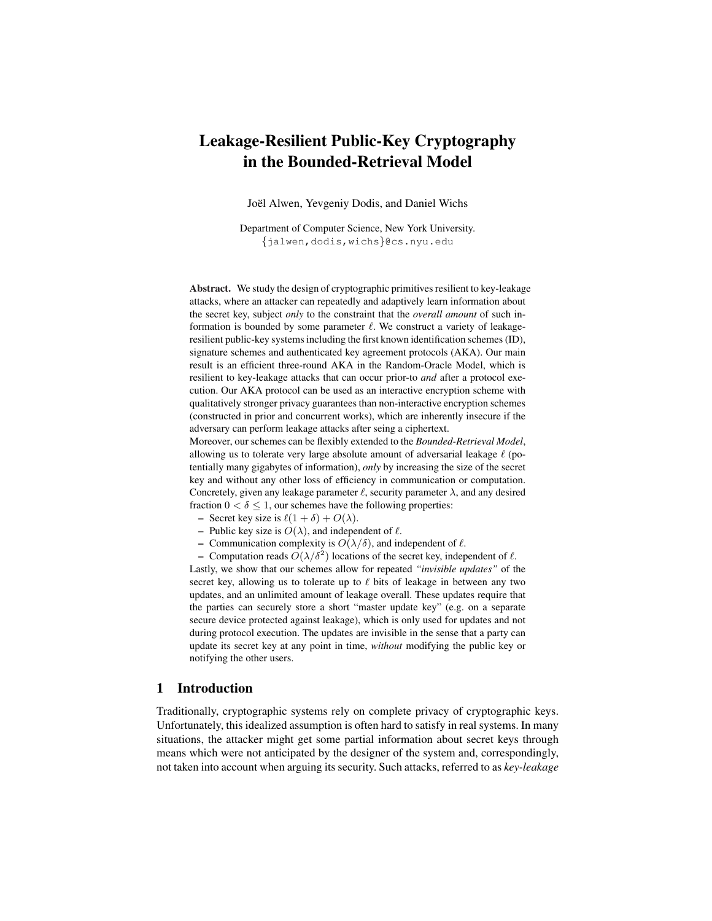# Leakage-Resilient Public-Key Cryptography in the Bounded-Retrieval Model

Joel Alwen, Yevgeniy Dodis, and Daniel Wichs ¨

Department of Computer Science, New York University. {jalwen,dodis,wichs}@cs.nyu.edu

Abstract. We study the design of cryptographic primitives resilient to key-leakage attacks, where an attacker can repeatedly and adaptively learn information about the secret key, subject *only* to the constraint that the *overall amount* of such information is bounded by some parameter  $\ell$ . We construct a variety of leakageresilient public-key systems including the first known identification schemes (ID), signature schemes and authenticated key agreement protocols (AKA). Our main result is an efficient three-round AKA in the Random-Oracle Model, which is resilient to key-leakage attacks that can occur prior-to *and* after a protocol execution. Our AKA protocol can be used as an interactive encryption scheme with qualitatively stronger privacy guarantees than non-interactive encryption schemes (constructed in prior and concurrent works), which are inherently insecure if the adversary can perform leakage attacks after seing a ciphertext.

Moreover, our schemes can be flexibly extended to the *Bounded-Retrieval Model*, allowing us to tolerate very large absolute amount of adversarial leakage  $\ell$  (potentially many gigabytes of information), *only* by increasing the size of the secret key and without any other loss of efficiency in communication or computation. Concretely, given any leakage parameter  $\ell$ , security parameter  $\lambda$ , and any desired fraction  $0 < \delta \leq 1$ , our schemes have the following properties:

- Secret key size is  $\ell(1 + \delta) + O(\lambda)$ .
- Public key size is  $O(\lambda)$ , and independent of  $\ell$ .
- Communication complexity is  $O(\lambda/\delta)$ , and independent of  $\ell$ .
- Computation reads  $O(\lambda/\delta^2)$  locations of the secret key, independent of  $\ell$ .

Lastly, we show that our schemes allow for repeated *"invisible updates"* of the secret key, allowing us to tolerate up to  $\ell$  bits of leakage in between any two updates, and an unlimited amount of leakage overall. These updates require that the parties can securely store a short "master update key" (e.g. on a separate secure device protected against leakage), which is only used for updates and not during protocol execution. The updates are invisible in the sense that a party can update its secret key at any point in time, *without* modifying the public key or notifying the other users.

#### 1 Introduction

Traditionally, cryptographic systems rely on complete privacy of cryptographic keys. Unfortunately, this idealized assumption is often hard to satisfy in real systems. In many situations, the attacker might get some partial information about secret keys through means which were not anticipated by the designer of the system and, correspondingly, not taken into account when arguing its security. Such attacks, referred to as *key-leakage*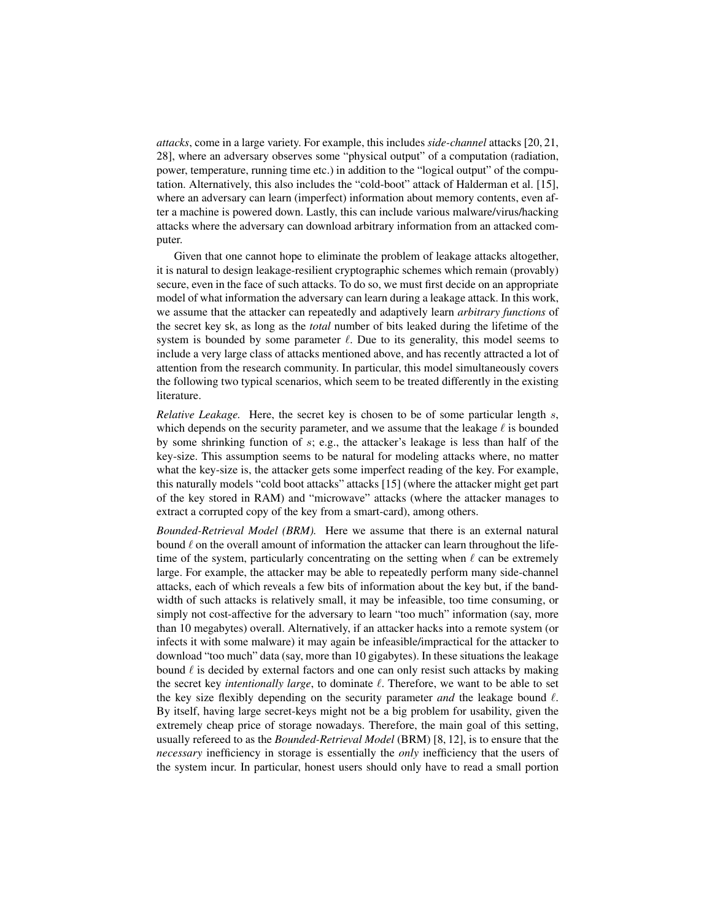*attacks*, come in a large variety. For example, this includes *side-channel* attacks [20, 21, 28], where an adversary observes some "physical output" of a computation (radiation, power, temperature, running time etc.) in addition to the "logical output" of the computation. Alternatively, this also includes the "cold-boot" attack of Halderman et al. [15], where an adversary can learn (imperfect) information about memory contents, even after a machine is powered down. Lastly, this can include various malware/virus/hacking attacks where the adversary can download arbitrary information from an attacked computer.

Given that one cannot hope to eliminate the problem of leakage attacks altogether, it is natural to design leakage-resilient cryptographic schemes which remain (provably) secure, even in the face of such attacks. To do so, we must first decide on an appropriate model of what information the adversary can learn during a leakage attack. In this work, we assume that the attacker can repeatedly and adaptively learn *arbitrary functions* of the secret key sk, as long as the *total* number of bits leaked during the lifetime of the system is bounded by some parameter  $\ell$ . Due to its generality, this model seems to include a very large class of attacks mentioned above, and has recently attracted a lot of attention from the research community. In particular, this model simultaneously covers the following two typical scenarios, which seem to be treated differently in the existing literature.

*Relative Leakage.* Here, the secret key is chosen to be of some particular length s, which depends on the security parameter, and we assume that the leakage  $\ell$  is bounded by some shrinking function of s; e.g., the attacker's leakage is less than half of the key-size. This assumption seems to be natural for modeling attacks where, no matter what the key-size is, the attacker gets some imperfect reading of the key. For example, this naturally models "cold boot attacks" attacks [15] (where the attacker might get part of the key stored in RAM) and "microwave" attacks (where the attacker manages to extract a corrupted copy of the key from a smart-card), among others.

*Bounded-Retrieval Model (BRM).* Here we assume that there is an external natural bound  $\ell$  on the overall amount of information the attacker can learn throughout the lifetime of the system, particularly concentrating on the setting when  $\ell$  can be extremely large. For example, the attacker may be able to repeatedly perform many side-channel attacks, each of which reveals a few bits of information about the key but, if the bandwidth of such attacks is relatively small, it may be infeasible, too time consuming, or simply not cost-affective for the adversary to learn "too much" information (say, more than 10 megabytes) overall. Alternatively, if an attacker hacks into a remote system (or infects it with some malware) it may again be infeasible/impractical for the attacker to download "too much" data (say, more than 10 gigabytes). In these situations the leakage bound  $\ell$  is decided by external factors and one can only resist such attacks by making the secret key *intentionally large*, to dominate  $\ell$ . Therefore, we want to be able to set the key size flexibly depending on the security parameter *and* the leakage bound  $\ell$ . By itself, having large secret-keys might not be a big problem for usability, given the extremely cheap price of storage nowadays. Therefore, the main goal of this setting, usually refereed to as the *Bounded-Retrieval Model* (BRM) [8, 12], is to ensure that the *necessary* inefficiency in storage is essentially the *only* inefficiency that the users of the system incur. In particular, honest users should only have to read a small portion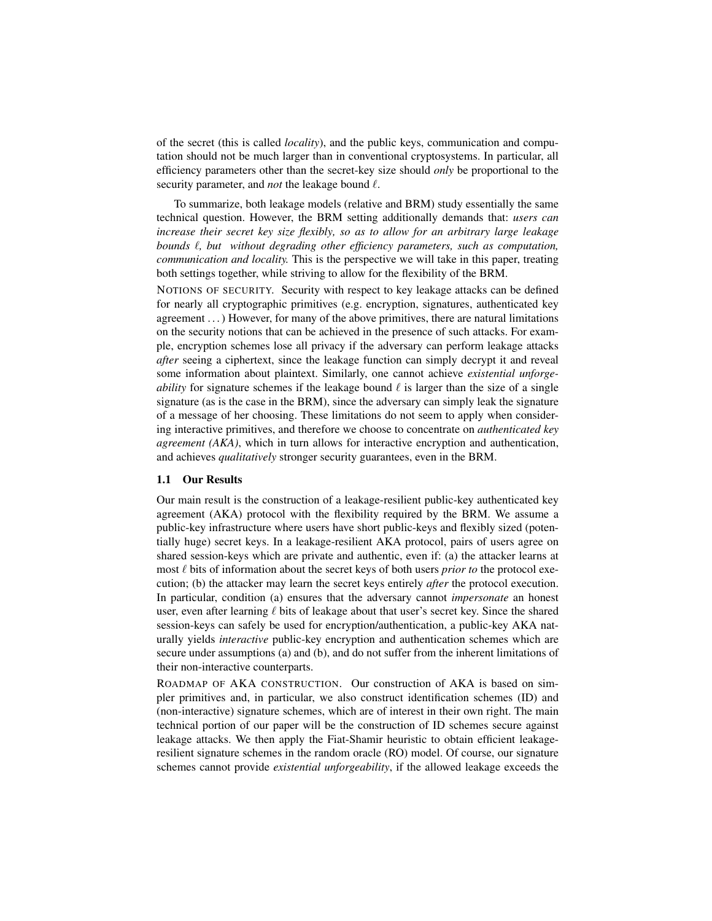of the secret (this is called *locality*), and the public keys, communication and computation should not be much larger than in conventional cryptosystems. In particular, all efficiency parameters other than the secret-key size should *only* be proportional to the security parameter, and *not* the leakage bound  $\ell$ .

To summarize, both leakage models (relative and BRM) study essentially the same technical question. However, the BRM setting additionally demands that: *users can increase their secret key size flexibly, so as to allow for an arbitrary large leakage bounds* `*, but without degrading other efficiency parameters, such as computation, communication and locality.* This is the perspective we will take in this paper, treating both settings together, while striving to allow for the flexibility of the BRM.

NOTIONS OF SECURITY. Security with respect to key leakage attacks can be defined for nearly all cryptographic primitives (e.g. encryption, signatures, authenticated key agreement ...) However, for many of the above primitives, there are natural limitations on the security notions that can be achieved in the presence of such attacks. For example, encryption schemes lose all privacy if the adversary can perform leakage attacks *after* seeing a ciphertext, since the leakage function can simply decrypt it and reveal some information about plaintext. Similarly, one cannot achieve *existential unforgeability* for signature schemes if the leakage bound  $\ell$  is larger than the size of a single signature (as is the case in the BRM), since the adversary can simply leak the signature of a message of her choosing. These limitations do not seem to apply when considering interactive primitives, and therefore we choose to concentrate on *authenticated key agreement (AKA)*, which in turn allows for interactive encryption and authentication, and achieves *qualitatively* stronger security guarantees, even in the BRM.

## 1.1 Our Results

Our main result is the construction of a leakage-resilient public-key authenticated key agreement (AKA) protocol with the flexibility required by the BRM. We assume a public-key infrastructure where users have short public-keys and flexibly sized (potentially huge) secret keys. In a leakage-resilient AKA protocol, pairs of users agree on shared session-keys which are private and authentic, even if: (a) the attacker learns at most  $\ell$  bits of information about the secret keys of both users *prior to* the protocol execution; (b) the attacker may learn the secret keys entirely *after* the protocol execution. In particular, condition (a) ensures that the adversary cannot *impersonate* an honest user, even after learning  $\ell$  bits of leakage about that user's secret key. Since the shared session-keys can safely be used for encryption/authentication, a public-key AKA naturally yields *interactive* public-key encryption and authentication schemes which are secure under assumptions (a) and (b), and do not suffer from the inherent limitations of their non-interactive counterparts.

ROADMAP OF AKA CONSTRUCTION. Our construction of AKA is based on simpler primitives and, in particular, we also construct identification schemes (ID) and (non-interactive) signature schemes, which are of interest in their own right. The main technical portion of our paper will be the construction of ID schemes secure against leakage attacks. We then apply the Fiat-Shamir heuristic to obtain efficient leakageresilient signature schemes in the random oracle (RO) model. Of course, our signature schemes cannot provide *existential unforgeability*, if the allowed leakage exceeds the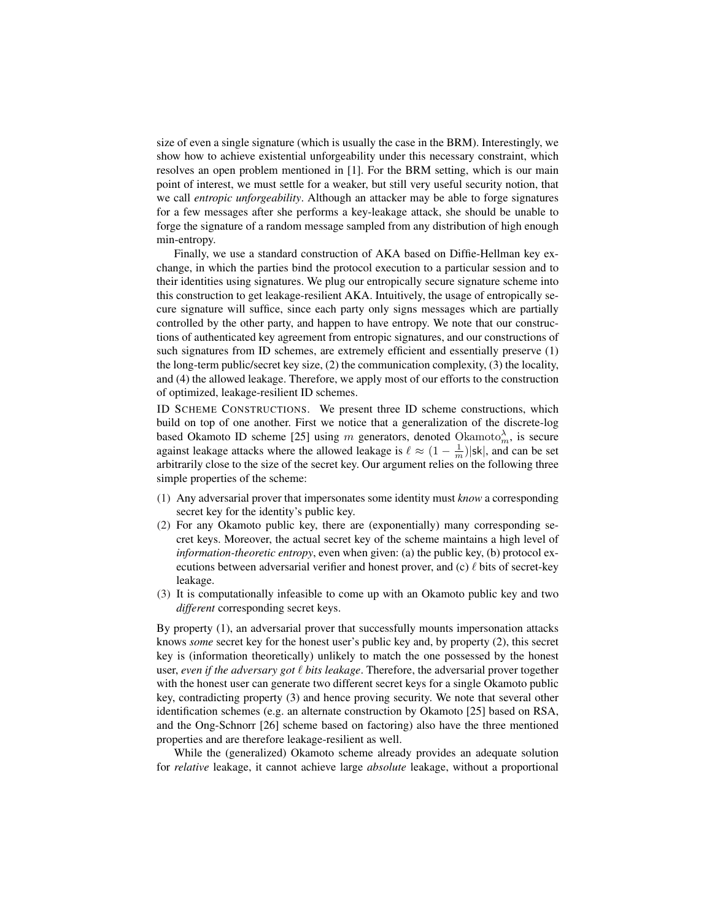size of even a single signature (which is usually the case in the BRM). Interestingly, we show how to achieve existential unforgeability under this necessary constraint, which resolves an open problem mentioned in [1]. For the BRM setting, which is our main point of interest, we must settle for a weaker, but still very useful security notion, that we call *entropic unforgeability*. Although an attacker may be able to forge signatures for a few messages after she performs a key-leakage attack, she should be unable to forge the signature of a random message sampled from any distribution of high enough min-entropy.

Finally, we use a standard construction of AKA based on Diffie-Hellman key exchange, in which the parties bind the protocol execution to a particular session and to their identities using signatures. We plug our entropically secure signature scheme into this construction to get leakage-resilient AKA. Intuitively, the usage of entropically secure signature will suffice, since each party only signs messages which are partially controlled by the other party, and happen to have entropy. We note that our constructions of authenticated key agreement from entropic signatures, and our constructions of such signatures from ID schemes, are extremely efficient and essentially preserve (1) the long-term public/secret key size, (2) the communication complexity, (3) the locality, and (4) the allowed leakage. Therefore, we apply most of our efforts to the construction of optimized, leakage-resilient ID schemes.

ID SCHEME CONSTRUCTIONS. We present three ID scheme constructions, which build on top of one another. First we notice that a generalization of the discrete-log based Okamoto ID scheme [25] using m generators, denoted Okamoto $_m^{\lambda}$ , is secure against leakage attacks where the allowed leakage is  $\ell \approx (1 - \frac{1}{m}) |\text{sk}|$ , and can be set arbitrarily close to the size of the secret key. Our argument relies on the following three simple properties of the scheme:

- (1) Any adversarial prover that impersonates some identity must *know* a corresponding secret key for the identity's public key.
- (2) For any Okamoto public key, there are (exponentially) many corresponding secret keys. Moreover, the actual secret key of the scheme maintains a high level of *information-theoretic entropy*, even when given: (a) the public key, (b) protocol executions between adversarial verifier and honest prover, and (c)  $\ell$  bits of secret-key leakage.
- (3) It is computationally infeasible to come up with an Okamoto public key and two *different* corresponding secret keys.

By property (1), an adversarial prover that successfully mounts impersonation attacks knows *some* secret key for the honest user's public key and, by property (2), this secret key is (information theoretically) unlikely to match the one possessed by the honest user, *even if the adversary got*  $\ell$  *bits leakage*. Therefore, the adversarial prover together with the honest user can generate two different secret keys for a single Okamoto public key, contradicting property (3) and hence proving security. We note that several other identification schemes (e.g. an alternate construction by Okamoto [25] based on RSA, and the Ong-Schnorr [26] scheme based on factoring) also have the three mentioned properties and are therefore leakage-resilient as well.

While the (generalized) Okamoto scheme already provides an adequate solution for *relative* leakage, it cannot achieve large *absolute* leakage, without a proportional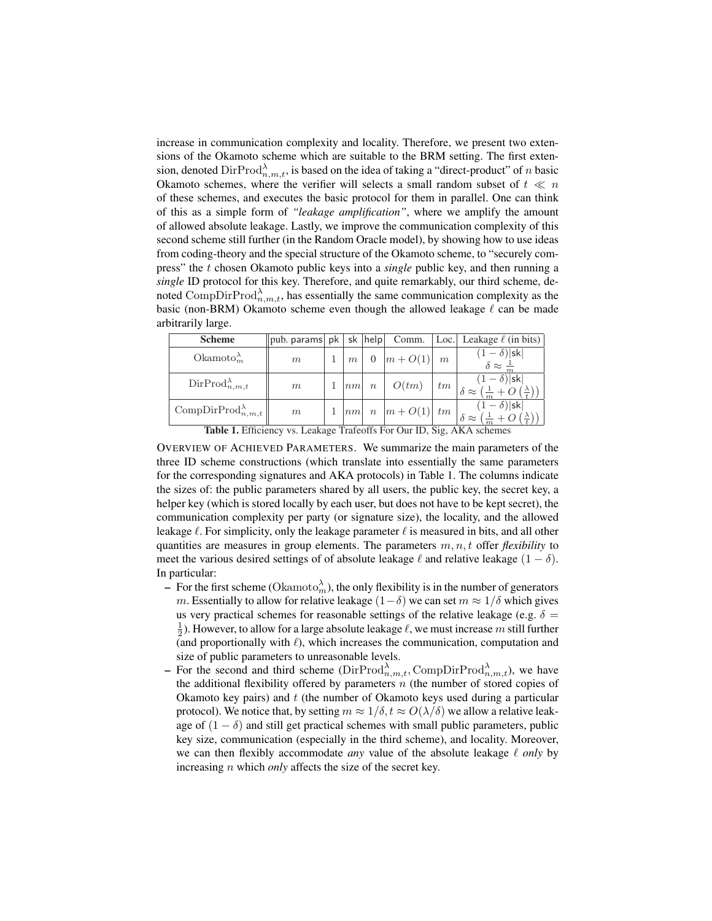increase in communication complexity and locality. Therefore, we present two extensions of the Okamoto scheme which are suitable to the BRM setting. The first extension, denoted  $\text{DirProd}_{n,m,t}^{\lambda}$ , is based on the idea of taking a "direct-product" of n basic Okamoto schemes, where the verifier will selects a small random subset of  $t \ll n$ of these schemes, and executes the basic protocol for them in parallel. One can think of this as a simple form of *"leakage amplification"*, where we amplify the amount of allowed absolute leakage. Lastly, we improve the communication complexity of this second scheme still further (in the Random Oracle model), by showing how to use ideas from coding-theory and the special structure of the Okamoto scheme, to "securely compress" the t chosen Okamoto public keys into a *single* public key, and then running a *single* ID protocol for this key. Therefore, and quite remarkably, our third scheme, denoted CompDir $\text{Prod}_{n,m,t}^{\lambda}$ , has essentially the same communication complexity as the basic (non-BRM) Okamoto scheme even though the allowed leakage  $\ell$  can be made arbitrarily large.

| <b>Scheme</b>                | pub.~params pk |    | sk   help        | Comm.             | Loc. | Leakage $\ell$ (in bits)                                     |
|------------------------------|----------------|----|------------------|-------------------|------|--------------------------------------------------------------|
| Okamoto $\lambda_n$          | m              | m  |                  | $0 \mid m + O(1)$ | m    | $1-\delta$ ) $ \mathsf{sk} $<br>$\delta \approx \frac{1}{2}$ |
| $DirProd_{n,m,t}^{\lambda}$  | m              | nm | $\boldsymbol{n}$ | O(tm)             | tm   | $(1 - \delta) $ sk<br>$\delta \approx$                       |
| CompDirProd <sub>n,m,t</sub> | m              | nm | $\boldsymbol{n}$ | $ m + O(1) $      | tm   | . $- \delta$ ) $ {\sf sk} $<br>$\delta \approx$              |

Table 1. Efficiency vs. Leakage Trafeoffs For Our ID, Sig, AKA schemes

OVERVIEW OF ACHIEVED PARAMETERS. We summarize the main parameters of the three ID scheme constructions (which translate into essentially the same parameters for the corresponding signatures and AKA protocols) in Table 1. The columns indicate the sizes of: the public parameters shared by all users, the public key, the secret key, a helper key (which is stored locally by each user, but does not have to be kept secret), the communication complexity per party (or signature size), the locality, and the allowed leakage  $\ell$ . For simplicity, only the leakage parameter  $\ell$  is measured in bits, and all other quantities are measures in group elements. The parameters  $m, n, t$  offer *flexibility* to meet the various desired settings of of absolute leakage  $\ell$  and relative leakage  $(1 - \delta)$ . In particular:

- For the first scheme (Okamoto $\lambda_n$ ), the only flexibility is in the number of generators m. Essentially to allow for relative leakage  $(1-\delta)$  we can set  $m \approx 1/\delta$  which gives us very practical schemes for reasonable settings of the relative leakage (e.g.  $\delta =$  $\frac{1}{2}$ ). However, to allow for a large absolute leakage  $\ell$ , we must increase m still further (and proportionally with  $\ell$ ), which increases the communication, computation and size of public parameters to unreasonable levels.
- For the second and third scheme ( $\text{DirProd}^{\lambda}_{n,m,t}$ , Comp $\text{DirProd}^{\lambda}_{n,m,t}$ ), we have the additional flexibility offered by parameters  $n$  (the number of stored copies of Okamoto key pairs) and  $t$  (the number of Okamoto keys used during a particular protocol). We notice that, by setting  $m \approx 1/\delta$ ,  $t \approx O(\lambda/\delta)$  we allow a relative leakage of  $(1 - \delta)$  and still get practical schemes with small public parameters, public key size, communication (especially in the third scheme), and locality. Moreover, we can then flexibly accommodate *any* value of the absolute leakage  $\ell$  *only* by increasing n which *only* affects the size of the secret key.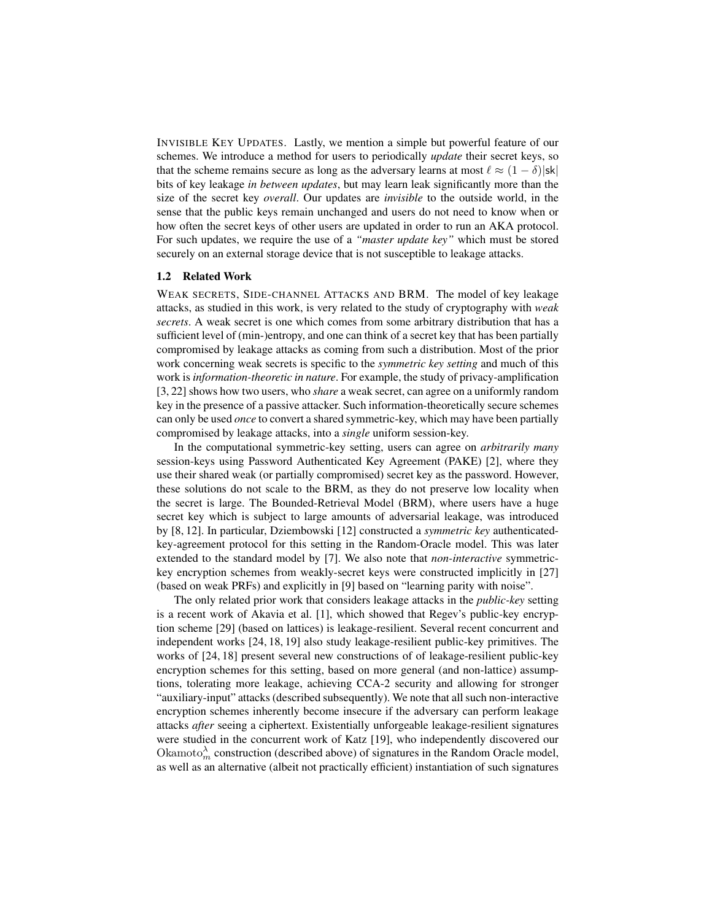INVISIBLE KEY UPDATES. Lastly, we mention a simple but powerful feature of our schemes. We introduce a method for users to periodically *update* their secret keys, so that the scheme remains secure as long as the adversary learns at most  $\ell \approx (1 - \delta) |\mathsf{sk}|$ bits of key leakage *in between updates*, but may learn leak significantly more than the size of the secret key *overall*. Our updates are *invisible* to the outside world, in the sense that the public keys remain unchanged and users do not need to know when or how often the secret keys of other users are updated in order to run an AKA protocol. For such updates, we require the use of a *"master update key"* which must be stored securely on an external storage device that is not susceptible to leakage attacks.

#### 1.2 Related Work

WEAK SECRETS, SIDE-CHANNEL ATTACKS AND BRM. The model of key leakage attacks, as studied in this work, is very related to the study of cryptography with *weak secrets*. A weak secret is one which comes from some arbitrary distribution that has a sufficient level of (min-)entropy, and one can think of a secret key that has been partially compromised by leakage attacks as coming from such a distribution. Most of the prior work concerning weak secrets is specific to the *symmetric key setting* and much of this work is *information-theoretic in nature*. For example, the study of privacy-amplification [3, 22] shows how two users, who *share* a weak secret, can agree on a uniformly random key in the presence of a passive attacker. Such information-theoretically secure schemes can only be used *once* to convert a shared symmetric-key, which may have been partially compromised by leakage attacks, into a *single* uniform session-key.

In the computational symmetric-key setting, users can agree on *arbitrarily many* session-keys using Password Authenticated Key Agreement (PAKE) [2], where they use their shared weak (or partially compromised) secret key as the password. However, these solutions do not scale to the BRM, as they do not preserve low locality when the secret is large. The Bounded-Retrieval Model (BRM), where users have a huge secret key which is subject to large amounts of adversarial leakage, was introduced by [8, 12]. In particular, Dziembowski [12] constructed a *symmetric key* authenticatedkey-agreement protocol for this setting in the Random-Oracle model. This was later extended to the standard model by [7]. We also note that *non-interactive* symmetrickey encryption schemes from weakly-secret keys were constructed implicitly in [27] (based on weak PRFs) and explicitly in [9] based on "learning parity with noise".

The only related prior work that considers leakage attacks in the *public-key* setting is a recent work of Akavia et al. [1], which showed that Regev's public-key encryption scheme [29] (based on lattices) is leakage-resilient. Several recent concurrent and independent works [24, 18, 19] also study leakage-resilient public-key primitives. The works of [24, 18] present several new constructions of of leakage-resilient public-key encryption schemes for this setting, based on more general (and non-lattice) assumptions, tolerating more leakage, achieving CCA-2 security and allowing for stronger "auxiliary-input" attacks (described subsequently). We note that all such non-interactive encryption schemes inherently become insecure if the adversary can perform leakage attacks *after* seeing a ciphertext. Existentially unforgeable leakage-resilient signatures were studied in the concurrent work of Katz [19], who independently discovered our Okamoto $\lambda_n$  construction (described above) of signatures in the Random Oracle model, as well as an alternative (albeit not practically efficient) instantiation of such signatures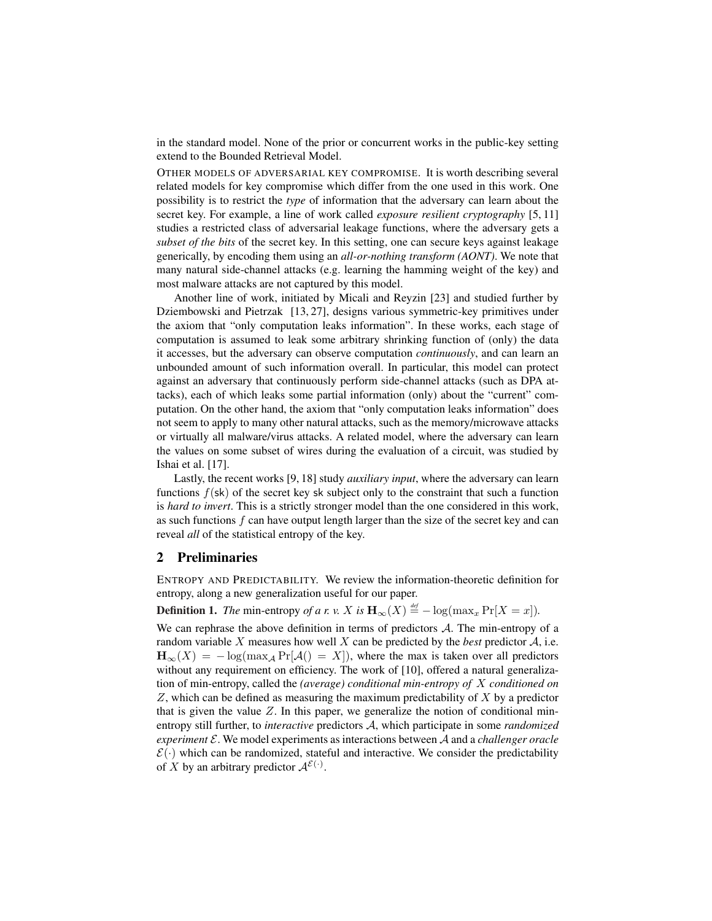in the standard model. None of the prior or concurrent works in the public-key setting extend to the Bounded Retrieval Model.

OTHER MODELS OF ADVERSARIAL KEY COMPROMISE. It is worth describing several related models for key compromise which differ from the one used in this work. One possibility is to restrict the *type* of information that the adversary can learn about the secret key. For example, a line of work called *exposure resilient cryptography* [5, 11] studies a restricted class of adversarial leakage functions, where the adversary gets a *subset of the bits* of the secret key. In this setting, one can secure keys against leakage generically, by encoding them using an *all-or-nothing transform (AONT)*. We note that many natural side-channel attacks (e.g. learning the hamming weight of the key) and most malware attacks are not captured by this model.

Another line of work, initiated by Micali and Reyzin [23] and studied further by Dziembowski and Pietrzak [13, 27], designs various symmetric-key primitives under the axiom that "only computation leaks information". In these works, each stage of computation is assumed to leak some arbitrary shrinking function of (only) the data it accesses, but the adversary can observe computation *continuously*, and can learn an unbounded amount of such information overall. In particular, this model can protect against an adversary that continuously perform side-channel attacks (such as DPA attacks), each of which leaks some partial information (only) about the "current" computation. On the other hand, the axiom that "only computation leaks information" does not seem to apply to many other natural attacks, such as the memory/microwave attacks or virtually all malware/virus attacks. A related model, where the adversary can learn the values on some subset of wires during the evaluation of a circuit, was studied by Ishai et al. [17].

Lastly, the recent works [9, 18] study *auxiliary input*, where the adversary can learn functions  $f$ (sk) of the secret key sk subject only to the constraint that such a function is *hard to invert*. This is a strictly stronger model than the one considered in this work, as such functions  $f$  can have output length larger than the size of the secret key and can reveal *all* of the statistical entropy of the key.

### 2 Preliminaries

ENTROPY AND PREDICTABILITY. We review the information-theoretic definition for entropy, along a new generalization useful for our paper.

**Definition 1.** *The* min-entropy *of a r. v. X is*  $\mathbf{H}_{\infty}(X) \stackrel{\text{def}}{=} -\log(\max_{x} \Pr[X = x]).$ 

We can rephrase the above definition in terms of predictors A. The min-entropy of a random variable X measures how well X can be predicted by the *best* predictor A, i.e.  $H_{\infty}(X) = -\log(\max_{A} Pr[A]) = X$ , where the max is taken over all predictors without any requirement on efficiency. The work of [10], offered a natural generalization of min-entropy, called the *(average) conditional min-entropy of* X *conditioned on*  $Z$ , which can be defined as measuring the maximum predictability of  $X$  by a predictor that is given the value  $Z$ . In this paper, we generalize the notion of conditional minentropy still further, to *interactive* predictors A, which participate in some *randomized experiment* E. We model experiments as interactions between A and a *challenger oracle*  $\mathcal{E}(\cdot)$  which can be randomized, stateful and interactive. We consider the predictability of X by an arbitrary predictor  $\mathcal{A}^{\mathcal{E}(\cdot)}$ .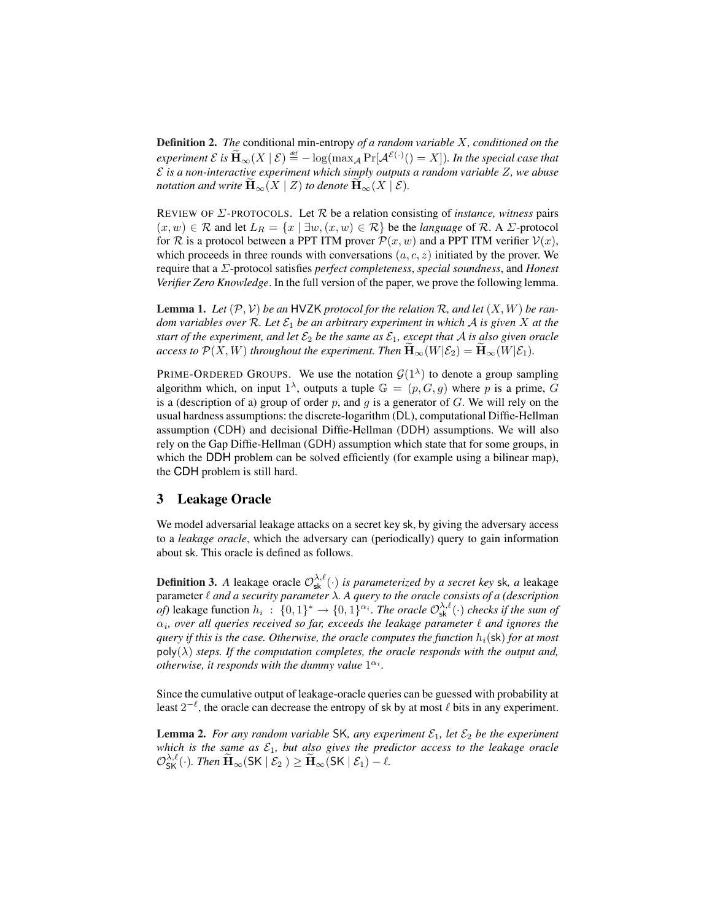Definition 2. *The* conditional min-entropy *of a random variable* X*, conditioned on the*  $\epsilon$ xperiment  $\mathcal E$  is  $\widetilde{\bf H}_\infty(X\,|\,\mathcal E)\stackrel{\rm def}{=} -\log(\max_\mathcal A \Pr[\mathcal A^{\mathcal E(\cdot)}()=X]).$  In the special case that E *is a non-interactive experiment which simply outputs a random variable* Z*, we abuse notation and write*  $\widetilde{\mathbf{H}}_{\infty}(X | Z)$  *to denote*  $\widetilde{\mathbf{H}}_{\infty}(X | \mathcal{E})$ *.* 

REVIEW OF Σ-PROTOCOLS. Let R be a relation consisting of *instance, witness* pairs  $(x, w)$  ∈ R and let  $L_R = \{x \mid \exists w, (x, w) \in R\}$  be the *language* of R. A ∑-protocol for R is a protocol between a PPT ITM prover  $\mathcal{P}(x, w)$  and a PPT ITM verifier  $\mathcal{V}(x)$ , which proceeds in three rounds with conversations  $(a, c, z)$  initiated by the prover. We require that a Σ-protocol satisfies *perfect completeness*, *special soundness*, and *Honest Verifier Zero Knowledge*. In the full version of the paper, we prove the following lemma.

**Lemma 1.** Let  $(\mathcal{P}, \mathcal{V})$  be an HVZK protocol for the relation  $\mathcal{R}$ , and let  $(X, W)$  be ran*dom variables over*  $\mathcal{R}$ *. Let*  $\mathcal{E}_1$  *be an arbitrary experiment in which*  $\mathcal{A}$  *is given*  $X$  *at the start of the experiment, and let*  $\mathcal{E}_2$  *be the same as*  $\mathcal{E}_1$ *, except that* A *is also given oracle access to*  $\mathcal{P}(X, W)$  *throughout the experiment. Then*  $\mathbf{H}_{\infty}(W|\mathcal{E}_2) = \mathbf{H}_{\infty}(W|\mathcal{E}_1)$ *.* 

PRIME-ORDERED GROUPS. We use the notation  $\mathcal{G}(1^{\lambda})$  to denote a group sampling algorithm which, on input  $1^{\lambda}$ , outputs a tuple  $\mathbb{G} = (p, G, g)$  where p is a prime, G is a (description of a) group of order  $p$ , and  $q$  is a generator of  $G$ . We will rely on the usual hardness assumptions: the discrete-logarithm (DL), computational Diffie-Hellman assumption (CDH) and decisional Diffie-Hellman (DDH) assumptions. We will also rely on the Gap Diffie-Hellman (GDH) assumption which state that for some groups, in which the DDH problem can be solved efficiently (for example using a bilinear map), the CDH problem is still hard.

# 3 Leakage Oracle

We model adversarial leakage attacks on a secret key sk, by giving the adversary access to a *leakage oracle*, which the adversary can (periodically) query to gain information about sk. This oracle is defined as follows.

**Definition 3.** A leakage oracle  $\mathcal{O}_{\mathsf{sk}}^{\lambda,\ell}(\cdot)$  *is parameterized by a secret key* sk, *a* leakage parameter ` *and a security parameter* λ*. A query to the oracle consists of a (description of)* leakage function  $h_i : \{0,1\}^* \to \{0,1\}^{\alpha_i}$ . The oracle  $\mathcal{O}_{\mathsf{sk}}^{\lambda,\ell}(\cdot)$  checks if the sum of  $\alpha_i$ , over all queries received so far, exceeds the leakage parameter  $\ell$  and ignores the *query if this is the case. Otherwise, the oracle computes the function*  $h_i$ (sk) *for at most*  $poly(\lambda)$  *steps. If the computation completes, the oracle responds with the output and, otherwise, it responds with the dummy value*  $1^{\alpha_i}$ *.* 

Since the cumulative output of leakage-oracle queries can be guessed with probability at least  $2^{-\ell}$ , the oracle can decrease the entropy of sk by at most  $\ell$  bits in any experiment.

**Lemma 2.** For any random variable SK, any experiment  $\mathcal{E}_1$ , let  $\mathcal{E}_2$  be the experiment *which is the same as*  $\mathcal{E}_1$ *, but also gives the predictor access to the leakage oracle*  $\mathcal{O}_{\mathsf{SK}}^{\lambda,\ell}(\cdot)$ *. Then*  $\widetilde{\mathbf{H}}_{\infty}(\mathsf{SK} \mid \mathcal{E}_2) \geq \widetilde{\mathbf{H}}_{\infty}(\mathsf{SK} \mid \mathcal{E}_1) - \ell$ *.*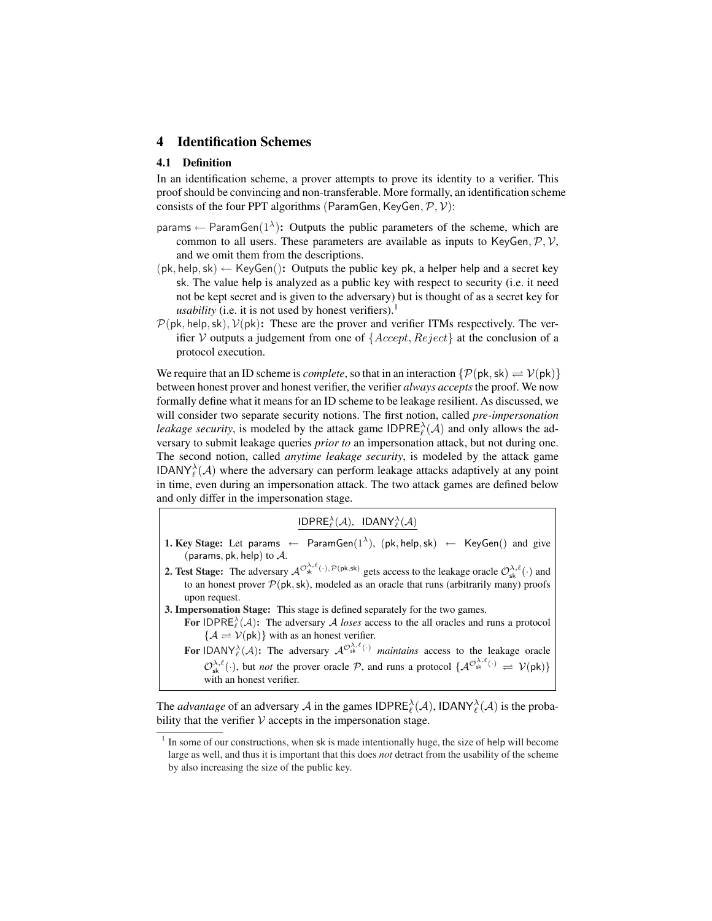# 4 Identification Schemes

#### 4.1 Definition

In an identification scheme, a prover attempts to prove its identity to a verifier. This proof should be convincing and non-transferable. More formally, an identification scheme consists of the four PPT algorithms (ParamGen, KeyGen,  $P, V$ ):

- params  $\leftarrow$  ParamGen(1 $\lambda$ ): Outputs the public parameters of the scheme, which are common to all users. These parameters are available as inputs to KeyGen,  $\mathcal{P}, \mathcal{V}$ , and we omit them from the descriptions.
- $(pk, help, sk) \leftarrow KeyGen():$  Outputs the public key pk, a helper help and a secret key sk. The value help is analyzed as a public key with respect to security (i.e. it need not be kept secret and is given to the adversary) but is thought of as a secret key for *usability* (i.e. it is not used by honest verifiers).<sup>1</sup>
- $P(\mathsf{pk}, \mathsf{help}, \mathsf{sk})$ ,  $V(\mathsf{pk})$ : These are the prover and verifier ITMs respectively. The verifier V outputs a judgement from one of  ${Accept, Reject}$  at the conclusion of a protocol execution.

We require that an ID scheme is *complete*, so that in an interaction  $\{\mathcal{P}(\mathsf{pk},\mathsf{sk})\rightleftharpoons \mathcal{V}(\mathsf{pk})\}$ between honest prover and honest verifier, the verifier *always accepts* the proof. We now formally define what it means for an ID scheme to be leakage resilient. As discussed, we will consider two separate security notions. The first notion, called *pre-impersonation leakage security*, is modeled by the attack game  $IDPRE<sub>\ell</sub><sup>λ</sup>(A)$  and only allows the adversary to submit leakage queries *prior to* an impersonation attack, but not during one. The second notion, called *anytime leakage security*, is modeled by the attack game IDANY<sub> $\ell$ </sub>( $\mathcal{A}$ ) where the adversary can perform leakage attacks adaptively at any point in time, even during an impersonation attack. The two attack games are defined below and only differ in the impersonation stage.

# $\mathsf{IDPRE}_\ell^\lambda(\mathcal{A}), \ \ \mathsf{IDANY}_\ell^\lambda(\mathcal{A})$

- **1. Key Stage:** Let params  $\leftarrow$  ParamGen $(1^{\lambda})$ ,  $(\mathsf{pk}, \mathsf{help}, \mathsf{sk})$   $\leftarrow$  KeyGen $()$  and give (params, pk, help) to  $A$ .
- **2. Test Stage:** The adversary  $\mathcal{A}^{\mathcal{O}_{\mathsf{sk}}^{\lambda,\ell}(\cdot),\mathcal{P}(\mathsf{pk},\mathsf{sk})}$  gets access to the leakage oracle  $\mathcal{O}_{\mathsf{sk}}^{\lambda,\ell}(\cdot)$  and to an honest prover  $\mathcal{P}(\mathsf{pk},\mathsf{sk})$ , modeled as an oracle that runs (arbitrarily many) proofs upon request.
- 3. Impersonation Stage: This stage is defined separately for the two games.
	- For IDPRE<sub> $\ell$ </sub><sup> $\setminus$ </sup> $(A)$ : The adversary *A loses* access to the all oracles and runs a protocol  ${A \rightleftharpoons V(\mathsf{pk})}$  with as an honest verifier.

For IDANY<sub> $\ell$ </sub><sup>(</sup> $\mathcal{A}$ ): The adversary  $\mathcal{A}^{\mathcal{O}_{sk}^{\lambda,\ell}(\cdot)}$  *maintains* access to the leakage oracle  $\mathcal{O}_{\rm sk}^{\lambda,\ell}(\cdot)$ , but *not* the prover oracle  $\mathcal{P}$ , and runs a protocol  $\{\mathcal{A}^{\mathcal{O}_{\rm sk}^{\lambda,\ell}(\cdot)} \rightleftharpoons \mathcal{V}(\mathsf{pk})\}$ with an honest verifier.

The *advantage* of an adversary A in the games  $IDPRE^{\lambda}_{\ell}(\mathcal{A})$ , IDANY $^{\lambda}_{\ell}(\mathcal{A})$  is the probability that the verifier  $V$  accepts in the impersonation stage.

 $<sup>1</sup>$  In some of our constructions, when sk is made intentionally huge, the size of help will become</sup> large as well, and thus it is important that this does *not* detract from the usability of the scheme by also increasing the size of the public key.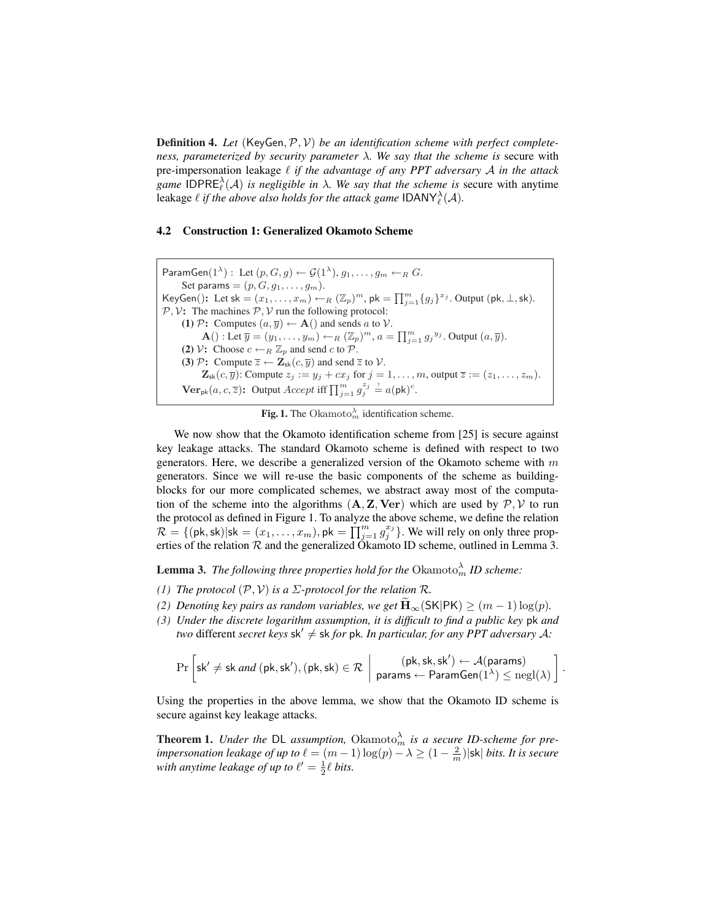**Definition 4.** Let  $(\text{KeyGen}, \mathcal{P}, \mathcal{V})$  *be an identification scheme with perfect completeness, parameterized by security parameter* λ*. We say that the scheme is* secure with pre-impersonation leakage  $\ell$  *if the advantage of any PPT adversary*  $\mathcal A$  *in the attack game*  $IDPRE<sub>\ell</sub><sup>λ</sup>(A)$  *is negligible in*  $\lambda$ *. We say that the scheme is secure with anytime* leakage  $\ell$  if the above also holds for the attack game  $\mathsf{IDANY}^\lambda_{\ell}(\mathcal{A})$ .

#### 4.2 Construction 1: Generalized Okamoto Scheme

ParamGen $(1^{\lambda})$ : Let  $(p,G,g) \leftarrow \mathcal{G}(1^{\lambda}), g_1, \ldots, g_m \leftarrow_R G$ . Set params =  $(p, G, g_1, \ldots, g_m)$ . Set params  $\equiv (p, G, g_1, \ldots, g_m)$ .<br>KeyGen(): Let sk =  $(x_1, \ldots, x_m) \leftarrow_R (\mathbb{Z}_p)^m$ , pk =  $\prod_{j=1}^m \{g_j\}^{x_j}$ . Output (pk,  $\perp$ , sk).  $P, V:$  The machines  $P, V$  run the following protocol: (1) P: Computes  $(a, \overline{y}) \leftarrow A()$  and sends a to V. A() : Let  $\overline{y} = (y_1, \ldots, y_m) \leftarrow_R (\mathbb{Z}_p)^m$ ,  $a = \prod_{j=1}^m g_j^{y_j}$ . Output  $(a, \overline{y})$ . (2) V: Choose  $c \leftarrow_R \mathbb{Z}_p$  and send c to  $\mathcal{P}$ . (3) P: Compute  $\overline{z} \leftarrow \mathbf{Z}_{\text{sk}}(c, \overline{y})$  and send  $\overline{z}$  to V.  $\mathbf{Z}_{\text{sk}}(c, \overline{y})$ : Compute  $z_j := y_j + cx_j$  for  $j = 1, \ldots, m$ , output  $\overline{z} := (z_1, \ldots, z_m)$ . **Ver**<sub>pk</sub> $(a, c, \overline{z})$ : Output *Accept* iff  $\prod_{j=1}^{m} g_j^{z_j} \stackrel{?}{=} a(\mathsf{pk})^c$ .

Fig. 1. The Okamoto $\lambda_n$  identification scheme.

We now show that the Okamoto identification scheme from [25] is secure against key leakage attacks. The standard Okamoto scheme is defined with respect to two generators. Here, we describe a generalized version of the Okamoto scheme with  $m$ generators. Since we will re-use the basic components of the scheme as buildingblocks for our more complicated schemes, we abstract away most of the computation of the scheme into the algorithms  $(A, Z, Ver)$  which are used by  $P, V$  to run the protocol as defined in Figure 1. To analyze the above scheme, we define the relation the protocol as defined in Figure 1. To analyze the above scheme, we define the relation  $\mathcal{R} = \{(\mathsf{pk}, \mathsf{sk}) | \mathsf{sk} = (x_1, \dots, x_m), \mathsf{pk} = \prod_{j=1}^m g_j^{x_j}\}.$  We will rely on only three properties of the relation  $R$  and the generalized Okamoto ID scheme, outlined in Lemma 3.

**Lemma 3.** The following three properties hold for the  $\mathrm{Okamoto}_{m}^{\lambda}$  ID scheme:

- *(1) The protocol*  $(\mathcal{P}, \mathcal{V})$  *is a*  $\Sigma$ -*protocol for the relation*  $\mathcal{R}$ *.*
- *(2) Denoting key pairs as random variables, we get*  $\mathbf{H}_{\infty}$  $(SK|PK) \geq (m-1) \log(p)$ *.*
- *(3) Under the discrete logarithm assumption, it is difficult to find a public key* pk *and two* different *secret keys*  $sk' \neq sk$  *for pk. In particular, for any PPT adversary* A*:*

$$
\Pr\left[\mathsf{sk}' \neq \mathsf{sk}\textit{ and } (\mathsf{pk},\mathsf{sk}'),(\mathsf{pk},\mathsf{sk}) \in \mathcal{R} \ \middle| \ \begin{gathered} (\mathsf{pk},\mathsf{sk},\mathsf{sk}') \leftarrow \mathcal{A}(\mathsf{params}) \\ \mathsf{params} \leftarrow \mathsf{ParamGen}(1^{\lambda}) \leq \mathrm{negl}(\lambda) \end{gathered} \right]
$$

.

Using the properties in the above lemma, we show that the Okamoto ID scheme is secure against key leakage attacks.

**Theorem 1.** Under the DL assumption,  $\text{Okamoto}_{m}^{\lambda}$  is a secure ID-scheme for pre*impersonation leakage of up to*  $\ell = (m-1)\log(p) - \lambda \geq (1-\frac{2}{m})|\textsf{sk}|$  *bits. It is secure* with anytime leakage of up to  $\ell' = \frac{1}{2}\ell$  bits.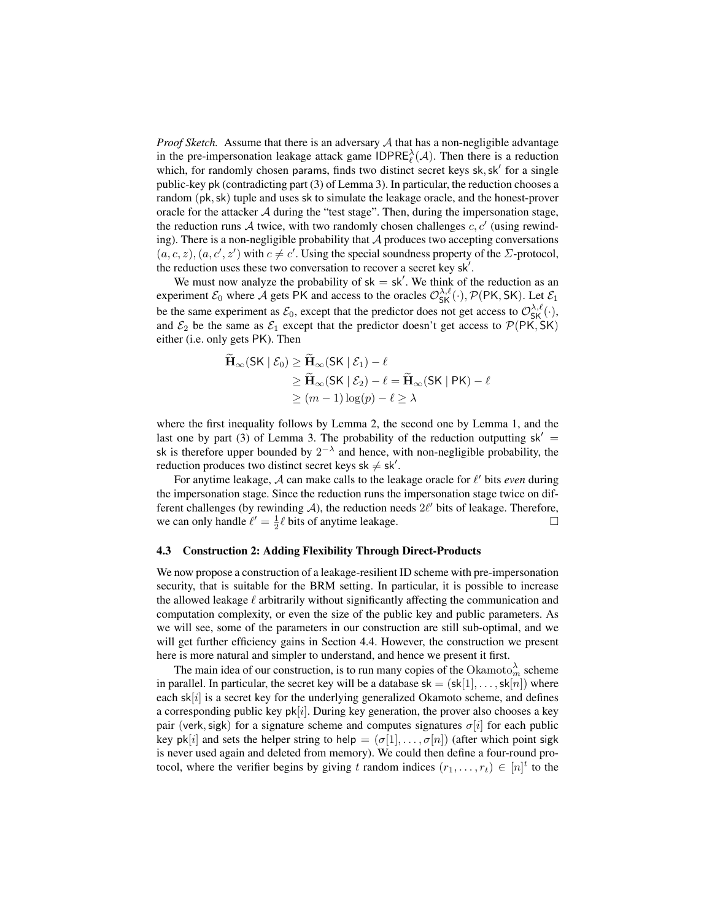*Proof Sketch.* Assume that there is an adversary A that has a non-negligible advantage in the pre-impersonation leakage attack game  $IDPRE<sub>\ell</sub><sup>^</sup>(A)$ . Then there is a reduction which, for randomly chosen params, finds two distinct secret keys sk, sk' for a single public-key pk (contradicting part (3) of Lemma 3). In particular, the reduction chooses a random (pk,sk) tuple and uses sk to simulate the leakage oracle, and the honest-prover oracle for the attacker  $A$  during the "test stage". Then, during the impersonation stage, the reduction runs A twice, with two randomly chosen challenges  $c, c'$  (using rewinding). There is a non-negligible probability that  $A$  produces two accepting conversations  $(a, c, z), (a, c', z')$  with  $c \neq c'$ . Using the special soundness property of the  $\Sigma$ -protocol, the reduction uses these two conversation to recover a secret key sk'.

We must now analyze the probability of  $sk = sk'$ . We think of the reduction as an experiment  $\mathcal{E}_0$  where  $\hat{\mathcal{A}}$  gets PK and access to the oracles  $\mathcal{O}_{SK}^{\lambda,\ell}(\cdot), \mathcal{P}(PK, SK)$ . Let  $\mathcal{E}_1$ be the same experiment as  $\mathcal{E}_0$ , except that the predictor does not get access to  $\mathcal{O}_{SK}^{\lambda,\ell}(\cdot)$ , and  $\mathcal{E}_2$  be the same as  $\mathcal{E}_1$  except that the predictor doesn't get access to  $\mathcal{P}(PK, SK)$ either (i.e. only gets PK). Then

$$
\widetilde{\mathbf{H}}_{\infty}(\mathsf{SK} \mid \mathcal{E}_{0}) \geq \widetilde{\mathbf{H}}_{\infty}(\mathsf{SK} \mid \mathcal{E}_{1}) - \ell
$$
\n
$$
\geq \widetilde{\mathbf{H}}_{\infty}(\mathsf{SK} \mid \mathcal{E}_{2}) - \ell = \widetilde{\mathbf{H}}_{\infty}(\mathsf{SK} \mid \mathsf{PK}) - \ell
$$
\n
$$
\geq (m-1)\log(p) - \ell \geq \lambda
$$

where the first inequality follows by Lemma 2, the second one by Lemma 1, and the last one by part (3) of Lemma 3. The probability of the reduction outputting  $sk' =$ sk is therefore upper bounded by  $2^{-\lambda}$  and hence, with non-negligible probability, the reduction produces two distinct secret keys sk  $\neq$  sk'.

For anytime leakage,  $A$  can make calls to the leakage oracle for  $\ell'$  bits *even* during the impersonation stage. Since the reduction runs the impersonation stage twice on different challenges (by rewinding  $A$ ), the reduction needs  $2\ell'$  bits of leakage. Therefore, we can only handle  $\ell' = \frac{1}{2}\ell$  bits of anytime leakage.

#### 4.3 Construction 2: Adding Flexibility Through Direct-Products

We now propose a construction of a leakage-resilient ID scheme with pre-impersonation security, that is suitable for the BRM setting. In particular, it is possible to increase the allowed leakage  $\ell$  arbitrarily without significantly affecting the communication and computation complexity, or even the size of the public key and public parameters. As we will see, some of the parameters in our construction are still sub-optimal, and we will get further efficiency gains in Section 4.4. However, the construction we present here is more natural and simpler to understand, and hence we present it first.

The main idea of our construction, is to run many copies of the Okamoto $_m^{\lambda}$  scheme in parallel. In particular, the secret key will be a database  $sk = (sk[1], \ldots, sk[n])$  where each  $sk[i]$  is a secret key for the underlying generalized Okamoto scheme, and defines a corresponding public key pk $[i]$ . During key generation, the prover also chooses a key pair (verk, sigk) for a signature scheme and computes signatures  $\sigma[i]$  for each public key pk[i] and sets the helper string to help =  $(\sigma[1], \ldots, \sigma[n])$  (after which point sigk is never used again and deleted from memory). We could then define a four-round protocol, where the verifier begins by giving t random indices  $(r_1, \ldots, r_t) \in [n]^t$  to the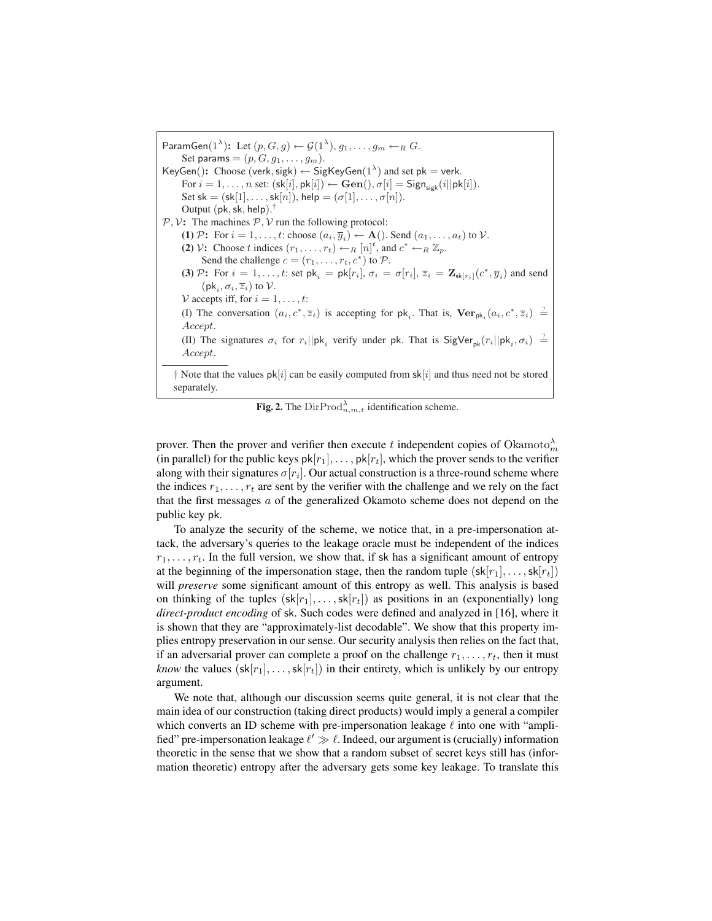ParamGen $(1^{\lambda})$ : Let  $(p, G, g) \leftarrow \mathcal{G}(1^{\lambda}), g_1, \ldots, g_m \leftarrow_R G$ . Set params =  $(p, G, g_1, \ldots, g_m)$ . KeyGen(): Choose (verk, sigk)  $\leftarrow$  SigKeyGen( $1^{\lambda}$ ) and set pk = verk. For  $i = 1, ..., n$  set:  $(\mathsf{sk}[i], \mathsf{pk}[i]) \leftarrow \mathbf{Gen}(), \sigma[i] = \mathsf{Sign}_{\mathsf{size}}(i||\mathsf{pk}[i]).$ Set sk = (sk[1],  $\dots$ , sk[n]), help = ( $\sigma$ [1],  $\dots$ ,  $\sigma$ [n]). Output (pk,sk, help). †  $P, V:$  The machines  $P, V$  run the following protocol: (1) P: For  $i = 1, \ldots, t$ : choose  $(a_i, \overline{y}_i) \leftarrow \mathbf{A}()$ . Send  $(a_1, \ldots, a_t)$  to  $\mathcal{V}$ . (2) V: Choose t indices  $(r_1, \ldots, r_t) \leftarrow_R [n]^t$ , and  $c^* \leftarrow_R \mathbb{Z}_p$ . Send the challenge  $c = (r_1, \ldots, r_t, c^*)$  to  $P$ . (3) P: For  $i = 1, \ldots, t$ : set  $pk_i = pk[r_i], \sigma_i = \sigma[r_i], \overline{z}_i = \mathbf{Z}_{sk[r_i]}(c^*, \overline{y}_i)$  and send  $(\mathsf{pk}_i, \sigma_i, \overline{z}_i)$  to  $\mathcal{V}$ .  $V$  accepts iff, for  $i = 1, \ldots, t$ : (I) The conversation  $(a_i, c^*, \overline{z}_i)$  is accepting for  $pk_i$ . That is,  $Ver_{pk_i}(a_i, c^*, \overline{z}_i) \stackrel{?}{=}$ Accept. (II) The signatures  $\sigma_i$  for  $r_i||\mathsf{pk}_i$  verify under pk. That is  $\mathsf{SigVer}_{\mathsf{pk}}(r_i||\mathsf{pk}_i, \sigma_i) \stackrel{?}{=}$ Accept. <sup>†</sup> Note that the values  $pk[i]$  can be easily computed from  $sk[i]$  and thus need not be stored separately.

**Fig. 2.** The Dir $\text{Prod}_{n,m,t}^{\lambda}$  identification scheme.

prover. Then the prover and verifier then execute t independent copies of Okamoto $\lambda_m^{\lambda}$ (in parallel) for the public keys  $pk[r_1], \ldots, pk[r_t]$ , which the prover sends to the verifier along with their signatures  $\sigma[r_i]$ . Our actual construction is a three-round scheme where the indices  $r_1, \ldots, r_t$  are sent by the verifier with the challenge and we rely on the fact that the first messages a of the generalized Okamoto scheme does not depend on the public key pk.

To analyze the security of the scheme, we notice that, in a pre-impersonation attack, the adversary's queries to the leakage oracle must be independent of the indices  $r_1, \ldots, r_t$ . In the full version, we show that, if sk has a significant amount of entropy at the beginning of the impersonation stage, then the random tuple  $(\text{sk}[r_1], \ldots, \text{sk}[r_t])$ will *preserve* some significant amount of this entropy as well. This analysis is based on thinking of the tuples  $(\text{sk}[r_1], \ldots, \text{sk}[r_t])$  as positions in an (exponentially) long *direct-product encoding* of sk. Such codes were defined and analyzed in [16], where it is shown that they are "approximately-list decodable". We show that this property implies entropy preservation in our sense. Our security analysis then relies on the fact that, if an adversarial prover can complete a proof on the challenge  $r_1, \ldots, r_t$ , then it must *know* the values  $(\text{sk}[r_1], \ldots, \text{sk}[r_t])$  in their entirety, which is unlikely by our entropy argument.

We note that, although our discussion seems quite general, it is not clear that the main idea of our construction (taking direct products) would imply a general a compiler which converts an ID scheme with pre-impersonation leakage  $\ell$  into one with "amplified" pre-impersonation leakage  $\ell' \gg \ell$ . Indeed, our argument is (crucially) information theoretic in the sense that we show that a random subset of secret keys still has (information theoretic) entropy after the adversary gets some key leakage. To translate this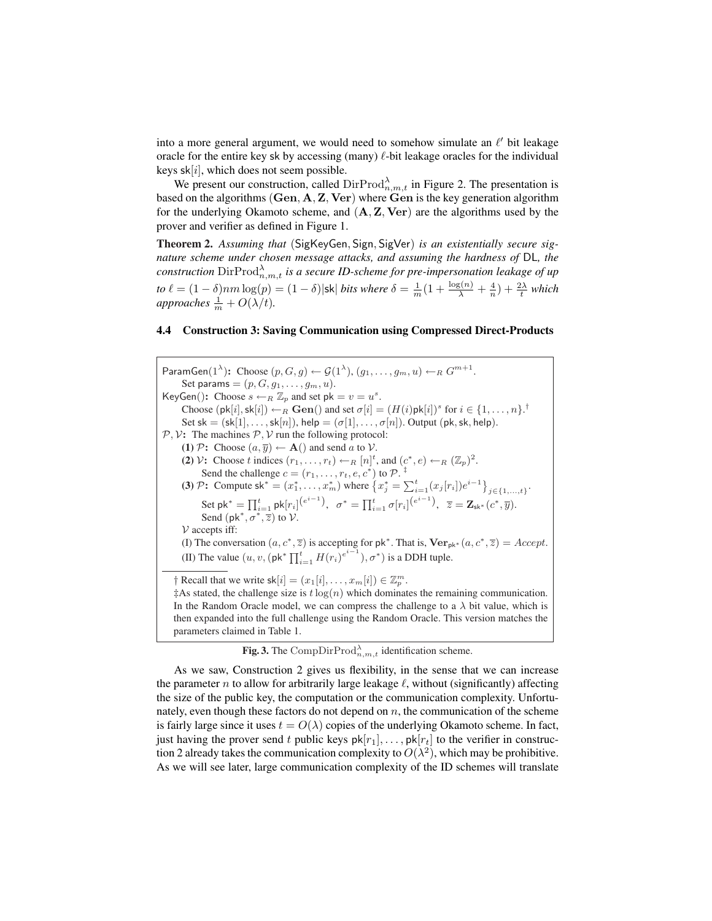into a more general argument, we would need to somehow simulate an  $\ell'$  bit leakage oracle for the entire key sk by accessing (many)  $\ell$ -bit leakage oracles for the individual keys  $sk[i]$ , which does not seem possible.

We present our construction, called  $DirProd^{\lambda}_{n,m,t}$  in Figure 2. The presentation is based on the algorithms (Gen, A, Z, Ver) where Gen is the key generation algorithm for the underlying Okamoto scheme, and  $(A, Z, Ver)$  are the algorithms used by the prover and verifier as defined in Figure 1.

Theorem 2. *Assuming that* (SigKeyGen, Sign, SigVer) *is an existentially secure signature scheme under chosen message attacks, and assuming the hardness of* DL*, the*  $\mathit{construction}$   $\mathrm{DirProd}^{\lambda}_{n,m,t}$  *is a secure ID-scheme for pre-impersonation leakage of up to*  $\ell = (1 - \delta)nm \log(p) = (1 - \delta) |\mathsf{sk}|$  *bits where*  $\delta = \frac{1}{m} (1 + \frac{\log(n)}{\lambda} + \frac{4}{n}) + \frac{2\lambda}{t}$  *which*  $approaches \frac{1}{m} + O(\lambda/t)$ .

#### 4.4 Construction 3: Saving Communication using Compressed Direct-Products

ParamGen $(1^{\lambda})$ : Choose  $(p, G, g) \leftarrow \mathcal{G}(1^{\lambda}), (g_1, \ldots, g_m, u) \leftarrow_R G^{m+1}$ . Set params  $=(p, G, g_1, \ldots, g_m, u)$ . KeyGen(): Choose  $s \leftarrow_R \mathbb{Z}_p$  and set  $pk = v = u^s$ . Choose  $(\mathsf{pk}[i], \mathsf{sk}[i]) \leftarrow_R \mathbf{Gen}()$  and set  $\sigma[i] = (H(i)\mathsf{pk}[i])^s$  for  $i \in \{1, \ldots, n\}$ .<sup>†</sup> Set sk = (sk[1], ..., sk[n]), help = ( $\sigma$ [1], ...,  $\sigma$ [n]). Output (pk, sk, help).  $P, V:$  The machines  $P, V$  run the following protocol: (1) P: Choose  $(a, \overline{y}) \leftarrow A()$  and send a to V. (2) V: Choose t indices  $(r_1, \ldots, r_t) \leftarrow_R [n]^t$ , and  $(c^*, e) \leftarrow_R (\mathbb{Z}_p)^2$ . Send the challenge  $c = (r_1, \ldots, r_t, e, c^*)$  to  $\mathcal{P}.^{\ddagger}$ Send the challenge  $c = (r_1, ..., r_t, e, c')$  to  $P$ .<br>
(3)  $P$ : Compute sk<sup>\*</sup> =  $(x_1^*, ..., x_m^*)$  where  $\{x_j^* = \sum_{i=1}^t (x_j[r_i])e^{i-1}\}$  $j \in \{1, ..., t\}$ Set  $pk^* = \prod_{i=1}^t pk[r_i]^{(e^{i-1})}, \sigma^* = \prod_{i=1}^t \sigma[r_i]^{(e^{i-1})}, \bar{z} = \mathbf{Z}_{sk^*}(c^*, \bar{y}).$ Send  $(\mathsf{pk}^*, \sigma^*, \overline{z})$  to  $\mathcal{V}$ .  $V$  accepts iff: (I) The conversation  $(a, c^*, \overline{z})$  is accepting for  $pk^*$ . That is,  $\textbf{Ver}_{pk^*}(a, c^*, \overline{z}) = Accept.$ (II) The value  $(u, v, (\mathbf{p}k^* \prod_{i=1}^t H(r_i)^{e^{i-1}}), \sigma^*)$  is a DDH tuple. † Recall that we write  $\mathsf{sk}[i] = (x_1[i], \dots, x_m[i]) \in \mathbb{Z}_p^m$ . ‡As stated, the challenge size is  $t \log(n)$  which dominates the remaining communication. In the Random Oracle model, we can compress the challenge to a  $\lambda$  bit value, which is then expanded into the full challenge using the Random Oracle. This version matches the parameters claimed in Table 1.

**Fig. 3.** The CompDirProd $_{n,m,t}^{\lambda}$  identification scheme.

As we saw, Construction 2 gives us flexibility, in the sense that we can increase the parameter n to allow for arbitrarily large leakage  $\ell$ , without (significantly) affecting the size of the public key, the computation or the communication complexity. Unfortunately, even though these factors do not depend on  $n$ , the communication of the scheme is fairly large since it uses  $t = O(\lambda)$  copies of the underlying Okamoto scheme. In fact, just having the prover send t public keys  $pk[r_1], \ldots, pk[r_t]$  to the verifier in construction 2 already takes the communication complexity to  $O(\lambda^2)$ , which may be prohibitive. As we will see later, large communication complexity of the ID schemes will translate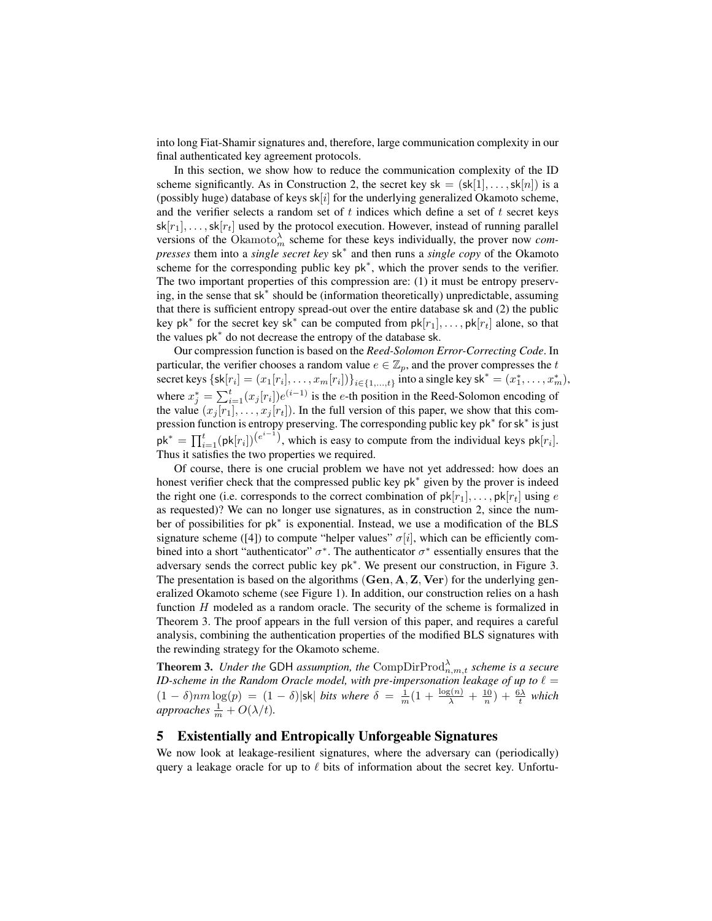into long Fiat-Shamir signatures and, therefore, large communication complexity in our final authenticated key agreement protocols.

In this section, we show how to reduce the communication complexity of the ID scheme significantly. As in Construction 2, the secret key  $sk = (sk[1], \ldots, sk[n])$  is a (possibly huge) database of keys  $sk[i]$  for the underlying generalized Okamoto scheme, and the verifier selects a random set of  $t$  indices which define a set of  $t$  secret keys  $sk[r_1], \ldots, sk[r_t]$  used by the protocol execution. However, instead of running parallel versions of the Okamoto $\lambda_n$  scheme for these keys individually, the prover now *compresses* them into a *single secret key* sk<sup>∗</sup> and then runs a *single copy* of the Okamoto scheme for the corresponding public key pk<sup>∗</sup> , which the prover sends to the verifier. The two important properties of this compression are: (1) it must be entropy preserving, in the sense that sk<sup>∗</sup> should be (information theoretically) unpredictable, assuming that there is sufficient entropy spread-out over the entire database sk and (2) the public key pk<sup>\*</sup> for the secret key sk<sup>\*</sup> can be computed from pk $[r_1], \ldots, p$ k $[r_t]$  alone, so that the values pk<sup>∗</sup> do not decrease the entropy of the database sk.

Our compression function is based on the *Reed-Solomon Error-Correcting Code*. In particular, the verifier chooses a random value  $e \in \mathbb{Z}_p$ , and the prover compresses the t secret keys  $\{sk[r_i]=(x_1[r_i],\ldots,x_m[r_i])\}_{i\in\{1,\ldots,t\}}$  into a single key sk\* =  $(x_1^*,\ldots,x_m^*)$ , where  $x_j^* = \sum_{i=1}^{t} (x_j[r_i])e^{(i-1)}$  is the *e*-th position in the Reed-Solomon encoding of the value  $(x_j [r_1], \ldots, x_j [r_t])$ . In the full version of this paper, we show that this compression function is entropy preserving. The corresponding public key pk<sup>∗</sup> for sk<sup>∗</sup> is just  $pk^* = \prod_{i=1}^{t} (pk[r_i])^{(e^{i-1})}$ , which is easy to compute from the individual keys  $pk[r_i]$ . Thus it satisfies the two properties we required.

Of course, there is one crucial problem we have not yet addressed: how does an honest verifier check that the compressed public key pk<sup>∗</sup> given by the prover is indeed the right one (i.e. corresponds to the correct combination of  $pk[r_1], \ldots, pk[r_t]$  using e as requested)? We can no longer use signatures, as in construction 2, since the number of possibilities for pk<sup>∗</sup> is exponential. Instead, we use a modification of the BLS signature scheme ([4]) to compute "helper values"  $\sigma[i]$ , which can be efficiently combined into a short "authenticator"  $\sigma^*$ . The authenticator  $\sigma^*$  essentially ensures that the adversary sends the correct public key pk<sup>\*</sup>. We present our construction, in Figure 3. The presentation is based on the algorithms  $(Gen, A, Z, Ver)$  for the underlying generalized Okamoto scheme (see Figure 1). In addition, our construction relies on a hash function H modeled as a random oracle. The security of the scheme is formalized in Theorem 3. The proof appears in the full version of this paper, and requires a careful analysis, combining the authentication properties of the modified BLS signatures with the rewinding strategy for the Okamoto scheme.

**Theorem 3.** *Under the* GDH *assumption, the*  $\mathrm{CompDirProd}_{n,m,t}^{\lambda}$  *scheme is a secure ID-scheme in the Random Oracle model, with pre-impersonation leakage of up to*  $\ell =$  $(1 - \delta)$ nm  $\log(p) = (1 - \delta)$ |sk| *bits where*  $\delta = \frac{1}{m}(1 + \frac{\log(n)}{\lambda} + \frac{10}{n}) + \frac{6\lambda}{t}$  which *approaches*  $\frac{1}{m} + O(\lambda/t)$ .

## 5 Existentially and Entropically Unforgeable Signatures

We now look at leakage-resilient signatures, where the adversary can (periodically) query a leakage oracle for up to  $\ell$  bits of information about the secret key. Unfortu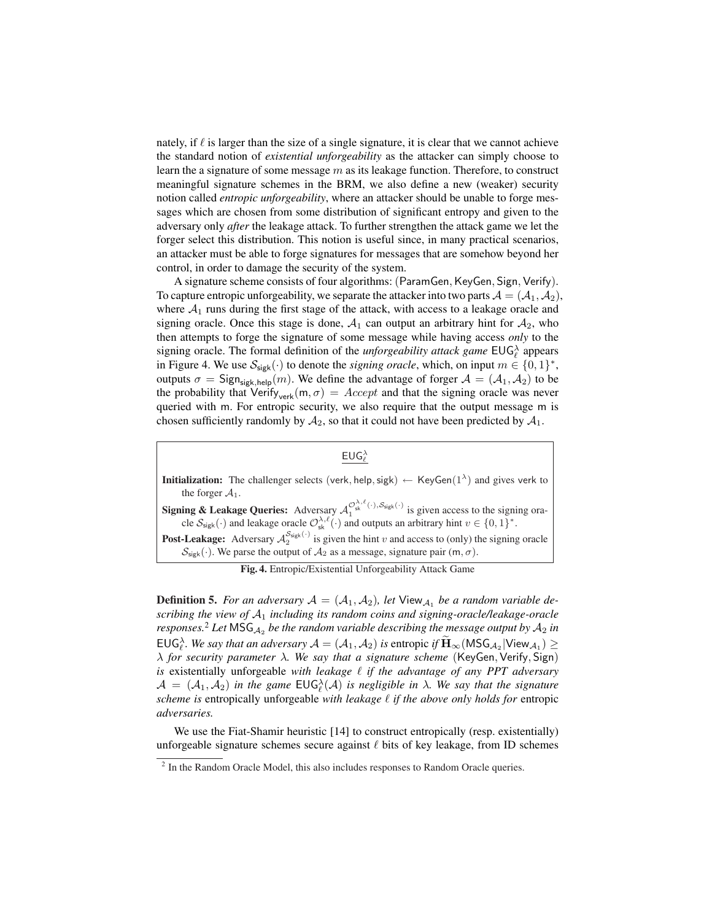nately, if  $\ell$  is larger than the size of a single signature, it is clear that we cannot achieve the standard notion of *existential unforgeability* as the attacker can simply choose to learn the a signature of some message  $m$  as its leakage function. Therefore, to construct meaningful signature schemes in the BRM, we also define a new (weaker) security notion called *entropic unforgeability*, where an attacker should be unable to forge messages which are chosen from some distribution of significant entropy and given to the adversary only *after* the leakage attack. To further strengthen the attack game we let the forger select this distribution. This notion is useful since, in many practical scenarios, an attacker must be able to forge signatures for messages that are somehow beyond her control, in order to damage the security of the system.

A signature scheme consists of four algorithms: (ParamGen, KeyGen, Sign, Verify). To capture entropic unforgeability, we separate the attacker into two parts  $\mathcal{A} = (\mathcal{A}_1, \mathcal{A}_2)$ , where  $A_1$  runs during the first stage of the attack, with access to a leakage oracle and signing oracle. Once this stage is done,  $A_1$  can output an arbitrary hint for  $A_2$ , who then attempts to forge the signature of some message while having access *only* to the signing oracle. The formal definition of the *unforgeability attack game*  $EUG<sub>\ell</sub><sup>\lambda</sup>$  appears in Figure 4. We use  $\mathcal{S}_{\text{sigk}}(\cdot)$  to denote the *signing oracle*, which, on input  $m \in \{0,1\}^*$ , outputs  $\sigma = \text{Sign}_{\text{sigk},\text{help}}(m)$ . We define the advantage of forger  $\mathcal{A} = (\mathcal{A}_1, \mathcal{A}_2)$  to be the probability that Verify<sub>verk</sub> $(m, \sigma) = Accept$  and that the signing oracle was never queried with m. For entropic security, we also require that the output message m is chosen sufficiently randomly by  $A_2$ , so that it could not have been predicted by  $A_1$ .

# EUG $_{\ell}^{\lambda}$

**Initialization:** The challenger selects (verk, help, sigk)  $\leftarrow$  KeyGen $(1^{\lambda})$  and gives verk to the forger  $A_1$ . **Signing & Leakage Queries:** Adversary  $\mathcal{A}_1^{\mathcal{O}_{sk}^{\lambda,\ell}(\cdot),\mathcal{S}_{sigk}(\cdot)}$  is given access to the signing oracle  $S_{\text{sigk}}(\cdot)$  and leakage oracle  $\mathcal{O}_{\text{sk}}^{\lambda,\ell}(\cdot)$  and outputs an arbitrary hint  $v \in \{0,1\}^*$ .

**Post-Leakage:** Adversary  $A_2^{\mathcal{S}_{\text{sigk}}(\cdot)}$  is given the hint v and access to (only) the signing oracle  $\mathcal{S}_{\text{site}}(\cdot)$ . We parse the output of  $\mathcal{A}_2$  as a message, signature pair  $(m, \sigma)$ .

Fig. 4. Entropic/Existential Unforgeability Attack Game

**Definition 5.** For an adversary  $A = (A_1, A_2)$ , let View<sub> $A_1$ </sub> be a random variable de*scribing the view of* A<sup>1</sup> *including its random coins and signing-oracle/leakage-oracle* responses.<sup>2</sup> Let  $\mathsf{MSG}_{\mathcal{A}_2}$  be the random variable describing the message output by  $\mathcal{A}_2$  in  $\mathsf{EUG}_\ell^\lambda$ . We say that an adversary  $\mathcal{A} = (\mathcal{A}_1, \mathcal{A}_2)$  is entropic if  $\widetilde{\mathbf{H}}_\infty(\mathsf{MSG}_{\mathcal{A}_2}|\mathsf{View}_{\mathcal{A}_1}) \geq 0$ λ *for security parameter* λ*. We say that a signature scheme* (KeyGen, Verify, Sign) *is* existentially unforgeable *with leakage*  $\ell$  *if the advantage of any PPT adversary*  $A = (A_1, A_2)$  *in the game*  $EUG_k^{\lambda}(\mathcal{A})$  *is negligible in*  $\lambda$ *. We say that the signature scheme is* entropically unforgeable *with leakage*  $\ell$  *if the above only holds for* entropic *adversaries.*

We use the Fiat-Shamir heuristic [14] to construct entropically (resp. existentially) unforgeable signature schemes secure against  $\ell$  bits of key leakage, from ID schemes

 $2$  In the Random Oracle Model, this also includes responses to Random Oracle queries.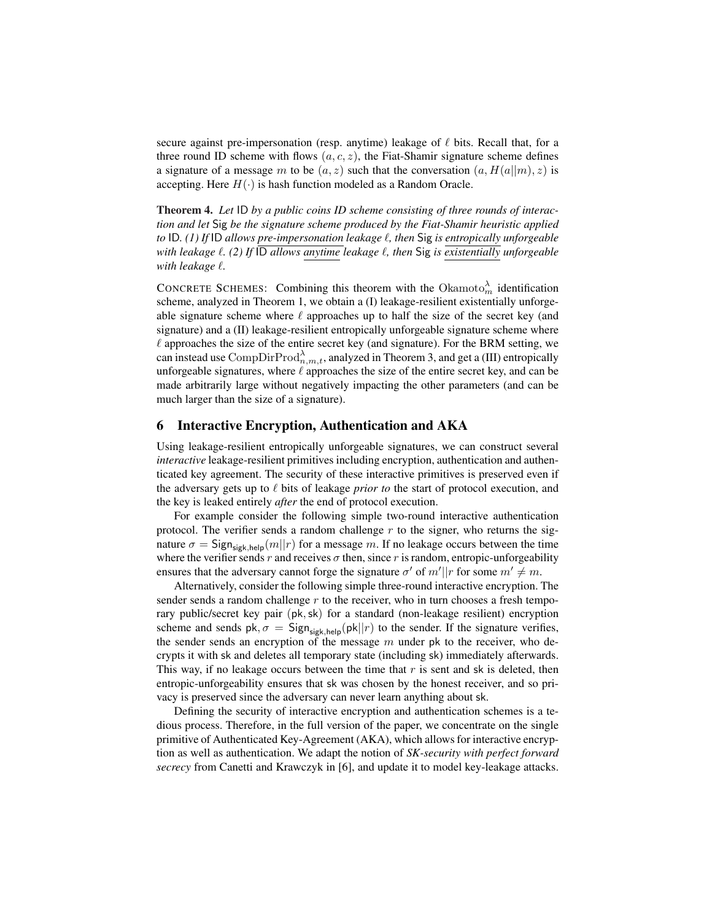secure against pre-impersonation (resp. anytime) leakage of  $\ell$  bits. Recall that, for a three round ID scheme with flows  $(a, c, z)$ , the Fiat-Shamir signature scheme defines a signature of a message m to be  $(a, z)$  such that the conversation  $(a, H(a||m), z)$  is accepting. Here  $H(\cdot)$  is hash function modeled as a Random Oracle.

Theorem 4. *Let* ID *by a public coins ID scheme consisting of three rounds of interaction and let* Sig *be the signature scheme produced by the Fiat-Shamir heuristic applied to*  $|D \cdot (1)$  If  $|D \cdot (1)$  *allows pre-impersonation leakage*  $\ell$ , *then* Sig *is entropically unforgeable with leakage* `*. (2) If* ID *allows anytime leakage* `*, then* Sig *is existentially unforgeable with leakage*  $\ell$ *.* 

CONCRETE SCHEMES: Combining this theorem with the Okamoto $\lambda_n$  identification scheme, analyzed in Theorem 1, we obtain a (I) leakage-resilient existentially unforgeable signature scheme where  $\ell$  approaches up to half the size of the secret key (and signature) and a (II) leakage-resilient entropically unforgeable signature scheme where  $\ell$  approaches the size of the entire secret key (and signature). For the BRM setting, we can instead use  $\mathrm{CompDirProd}_{n,m,t}^{\lambda}$ , analyzed in Theorem 3, and get a (III) entropically unforgeable signatures, where  $\ell$  approaches the size of the entire secret key, and can be made arbitrarily large without negatively impacting the other parameters (and can be much larger than the size of a signature).

## 6 Interactive Encryption, Authentication and AKA

Using leakage-resilient entropically unforgeable signatures, we can construct several *interactive* leakage-resilient primitives including encryption, authentication and authenticated key agreement. The security of these interactive primitives is preserved even if the adversary gets up to  $\ell$  bits of leakage *prior to* the start of protocol execution, and the key is leaked entirely *after* the end of protocol execution.

For example consider the following simple two-round interactive authentication protocol. The verifier sends a random challenge  $r$  to the signer, who returns the signature  $\sigma = \text{Sign}_{\text{site k, help}}(m||r)$  for a message m. If no leakage occurs between the time where the verifier sends r and receives  $\sigma$  then, since r is random, entropic-unforgeability ensures that the adversary cannot forge the signature  $\sigma'$  of  $m'||r$  for some  $m' \neq m$ .

Alternatively, consider the following simple three-round interactive encryption. The sender sends a random challenge  $r$  to the receiver, who in turn chooses a fresh temporary public/secret key pair (pk,sk) for a standard (non-leakage resilient) encryption scheme and sends pk,  $\sigma = \text{Sign}_{\text{sigk},\text{help}}(\text{pk}||r)$  to the sender. If the signature verifies, the sender sends an encryption of the message  $m$  under pk to the receiver, who decrypts it with sk and deletes all temporary state (including sk) immediately afterwards. This way, if no leakage occurs between the time that  $r$  is sent and sk is deleted, then entropic-unforgeability ensures that sk was chosen by the honest receiver, and so privacy is preserved since the adversary can never learn anything about sk.

Defining the security of interactive encryption and authentication schemes is a tedious process. Therefore, in the full version of the paper, we concentrate on the single primitive of Authenticated Key-Agreement (AKA), which allows for interactive encryption as well as authentication. We adapt the notion of *SK-security with perfect forward secrecy* from Canetti and Krawczyk in [6], and update it to model key-leakage attacks.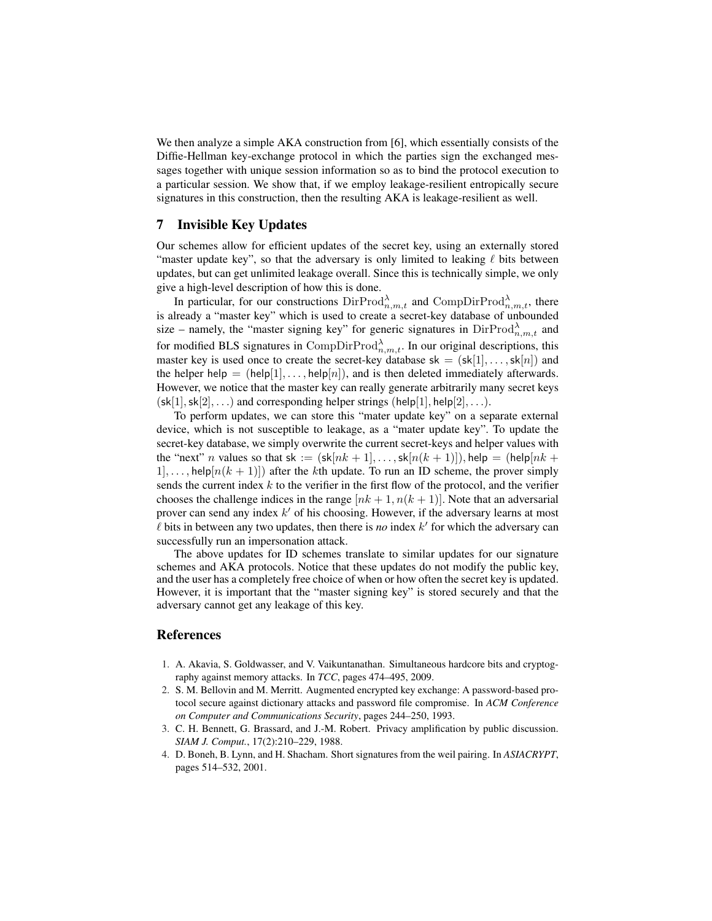We then analyze a simple AKA construction from [6], which essentially consists of the Diffie-Hellman key-exchange protocol in which the parties sign the exchanged messages together with unique session information so as to bind the protocol execution to a particular session. We show that, if we employ leakage-resilient entropically secure signatures in this construction, then the resulting AKA is leakage-resilient as well.

#### 7 Invisible Key Updates

Our schemes allow for efficient updates of the secret key, using an externally stored "master update key", so that the adversary is only limited to leaking  $\ell$  bits between updates, but can get unlimited leakage overall. Since this is technically simple, we only give a high-level description of how this is done.

In particular, for our constructions  $DirProd_{n,m,t}^{\lambda}$  and  $CompDirProd_{n,m,t}^{\lambda}$ , there is already a "master key" which is used to create a secret-key database of unbounded size – namely, the "master signing key" for generic signatures in  $DirProd_{n,m,t}^{\lambda}$  and for modified BLS signatures in CompDirProd $_{n,m,t}^{\lambda}$ . In our original descriptions, this master key is used once to create the secret-key database  $sk = (sk[1], \ldots, sk[n])$  and the helper help =  $(help[1], \ldots, help[n])$ , and is then deleted immediately afterwards. However, we notice that the master key can really generate arbitrarily many secret keys  $(\mathsf{sk}[1], \mathsf{sk}[2], \ldots)$  and corresponding helper strings  $(\mathsf{help}[1], \mathsf{help}[2], \ldots)$ .

To perform updates, we can store this "mater update key" on a separate external device, which is not susceptible to leakage, as a "mater update key". To update the secret-key database, we simply overwrite the current secret-keys and helper values with the "next" *n* values so that  $sk := (sk[nk+1], \ldots, sk[n(k+1)])$ , help  $= (help[nk+1])$  $1, \ldots$ , help $[n(k+1)]$  after the kth update. To run an ID scheme, the prover simply sends the current index  $k$  to the verifier in the first flow of the protocol, and the verifier chooses the challenge indices in the range  $[nk + 1, n(k + 1)]$ . Note that an adversarial prover can send any index  $k'$  of his choosing. However, if the adversary learns at most  $\ell$  bits in between any two updates, then there is *no* index  $k'$  for which the adversary can successfully run an impersonation attack.

The above updates for ID schemes translate to similar updates for our signature schemes and AKA protocols. Notice that these updates do not modify the public key, and the user has a completely free choice of when or how often the secret key is updated. However, it is important that the "master signing key" is stored securely and that the adversary cannot get any leakage of this key.

#### References

- 1. A. Akavia, S. Goldwasser, and V. Vaikuntanathan. Simultaneous hardcore bits and cryptography against memory attacks. In *TCC*, pages 474–495, 2009.
- 2. S. M. Bellovin and M. Merritt. Augmented encrypted key exchange: A password-based protocol secure against dictionary attacks and password file compromise. In *ACM Conference on Computer and Communications Security*, pages 244–250, 1993.
- 3. C. H. Bennett, G. Brassard, and J.-M. Robert. Privacy amplification by public discussion. *SIAM J. Comput.*, 17(2):210–229, 1988.
- 4. D. Boneh, B. Lynn, and H. Shacham. Short signatures from the weil pairing. In *ASIACRYPT*, pages 514–532, 2001.